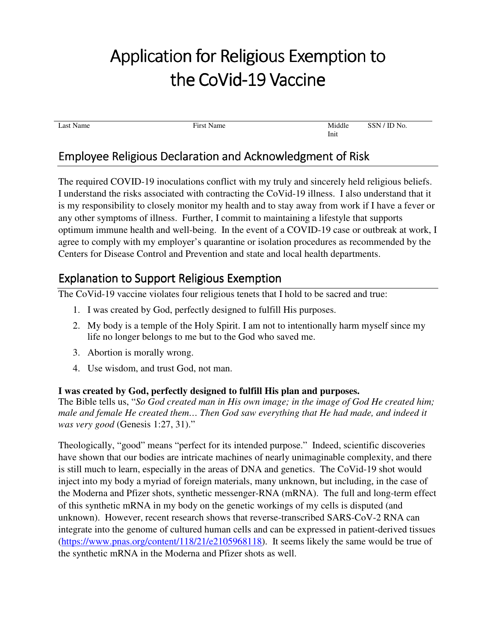# Application for Religious Exemption to the CoVid-19 Vaccine

Last Name Middle **First Name** First Name **First Name** Middle

SSN / ID No.

Init

# Employee Religious Declaration and Acknowledgment of Risk f

The required COVID-19 inoculations conflict with my truly and sincerely held religious beliefs. I understand the risks associated with contracting the CoVid-19 illness. I also understand that it is my responsibility to closely monitor my health and to stay away from work if I have a fever or any other symptoms of illness. Further, I commit to maintaining a lifestyle that supports optimum immune health and well-being. In the event of a COVID-19 case or outbreak at work, I agree to comply with my employer's quarantine or isolation procedures as recommended by the Centers for Disease Control and Prevention and state and local health departments.

# Explanation to Support Religious Exemption

The CoVid-19 vaccine violates four religious tenets that I hold to be sacred and true:

- 1. I was created by God, perfectly designed to fulfill His purposes.
- 2. My body is a temple of the Holy Spirit. I am not to intentionally harm myself since my life no longer belongs to me but to the God who saved me.
- 3. Abortion is morally wrong.
- 4. Use wisdom, and trust God, not man.

## **I was created by God, perfectly designed to fulfill His plan and purposes.**

The Bible tells us, "*So God created man in His own image; in the image of God He created him; male and female He created them… Then God saw everything that He had made, and indeed it was very good* (Genesis 1:27, 31)."

Theologically, "good" means "perfect for its intended purpose." Indeed, scientific discoveries have shown that our bodies are intricate machines of nearly unimaginable complexity, and there is still much to learn, especially in the areas of DNA and genetics. The CoVid-19 shot would inject into my body a myriad of foreign materials, many unknown, but including, in the case of the Moderna and Pfizer shots, synthetic messenger-RNA (mRNA). The full and long-term effect of this synthetic mRNA in my body on the genetic workings of my cells is disputed (and unknown). However, recent research shows that reverse-transcribed SARS-CoV-2 RNA can integrate into the genome of cultured human cells and can be expressed in patient-derived tissues (https://www.pnas.org/content/118/21/e2105968118). It seems likely the same would be true of the synthetic mRNA in the Moderna and Pfizer shots as well.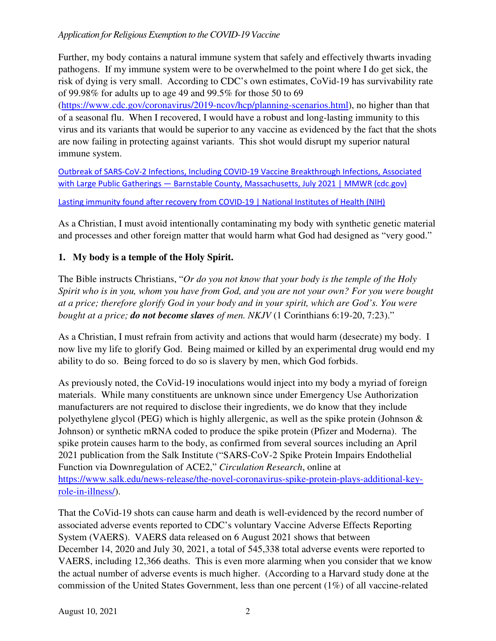#### *Application for Religious Exemption to the COVID-19 Vaccine*

Further, my body contains a natural immune system that safely and effectively thwarts invading pathogens. If my immune system were to be overwhelmed to the point where I do get sick, the risk of dying is very small. According to CDC's own estimates, CoVid-19 has survivability rate of 99.98% for adults up to age 49 and 99.5% for those 50 to 69

(https://www.cdc.gov/coronavirus/2019-ncov/hcp/planning-scenarios.html), no higher than that of a seasonal flu. When I recovered, I would have a robust and long-lasting immunity to this virus and its variants that would be superior to any vaccine as evidenced by the fact that the shots are now failing in protecting against variants. This shot would disrupt my superior natural immune system.

Outbreak of SARS-CoV-2 Infections, Including COVID-19 Vaccine Breakthrough Infections, Associated with Large Public Gatherings — Barnstable County, Massachusetts, July 2021 | MMWR (cdc.gov)

Lasting immunity found after recovery from COVID-19 | National Institutes of Health (NIH)

As a Christian, I must avoid intentionally contaminating my body with synthetic genetic material and processes and other foreign matter that would harm what God had designed as "very good."

### **1. My body is a temple of the Holy Spirit.**

The Bible instructs Christians, "*Or do you not know that your body is the temple of the Holy Spirit who is in you, whom you have from God, and you are not your own? For you were bought at a price; therefore glorify God in your body and in your spirit, which are God's. You were bought at a price; do not become slaves of men. NKJV* (1 Corinthians 6:19-20, 7:23)."

As a Christian, I must refrain from activity and actions that would harm (desecrate) my body. I now live my life to glorify God. Being maimed or killed by an experimental drug would end my ability to do so. Being forced to do so is slavery by men, which God forbids.

As previously noted, the CoVid-19 inoculations would inject into my body a myriad of foreign materials. While many constituents are unknown since under Emergency Use Authorization manufacturers are not required to disclose their ingredients, we do know that they include polyethylene glycol (PEG) which is highly allergenic, as well as the spike protein (Johnson & Johnson) or synthetic mRNA coded to produce the spike protein (Pfizer and Moderna). The spike protein causes harm to the body, as confirmed from several sources including an April 2021 publication from the Salk Institute ("SARS-CoV-2 Spike Protein Impairs Endothelial Function via Downregulation of ACE2," *Circulation Research*, online at https://www.salk.edu/news-release/the-novel-coronavirus-spike-protein-plays-additional-keyrole-in-illness/).

That the CoVid-19 shots can cause harm and death is well-evidenced by the record number of associated adverse events reported to CDC's voluntary Vaccine Adverse Effects Reporting System (VAERS). VAERS data released on 6 August 2021 shows that between December 14, 2020 and July 30, 2021, a total of 545,338 total adverse events were reported to VAERS, including 12,366 deaths. This is even more alarming when you consider that we know the actual number of adverse events is much higher. (According to a Harvard study done at the commission of the United States Government, less than one percent (1%) of all vaccine-related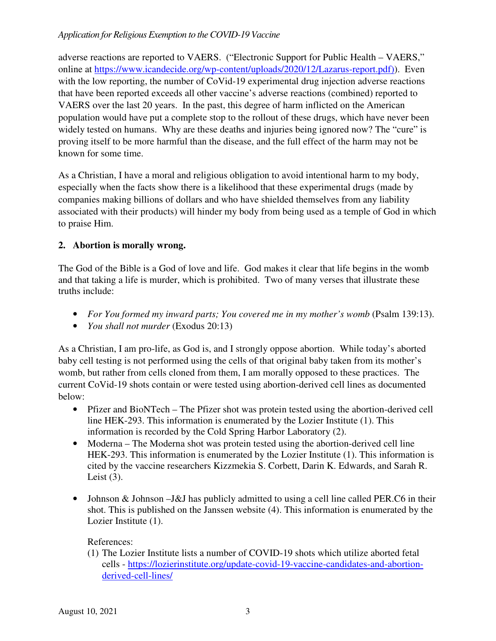#### *Application for Religious Exemption to the COVID-19 Vaccine*

adverse reactions are reported to VAERS. ("Electronic Support for Public Health – VAERS," online at https://www.icandecide.org/wp-content/uploads/2020/12/Lazarus-report.pdf)). Even with the low reporting, the number of CoVid-19 experimental drug injection adverse reactions that have been reported exceeds all other vaccine's adverse reactions (combined) reported to VAERS over the last 20 years. In the past, this degree of harm inflicted on the American population would have put a complete stop to the rollout of these drugs, which have never been widely tested on humans. Why are these deaths and injuries being ignored now? The "cure" is proving itself to be more harmful than the disease, and the full effect of the harm may not be known for some time.

As a Christian, I have a moral and religious obligation to avoid intentional harm to my body, especially when the facts show there is a likelihood that these experimental drugs (made by companies making billions of dollars and who have shielded themselves from any liability associated with their products) will hinder my body from being used as a temple of God in which to praise Him.

#### **2. Abortion is morally wrong.**

The God of the Bible is a God of love and life. God makes it clear that life begins in the womb and that taking a life is murder, which is prohibited. Two of many verses that illustrate these truths include:

- *For You formed my inward parts; You covered me in my mother's womb* (Psalm 139:13).
- *You shall not murder* (Exodus 20:13)

As a Christian, I am pro-life, as God is, and I strongly oppose abortion. While today's aborted baby cell testing is not performed using the cells of that original baby taken from its mother's womb, but rather from cells cloned from them, I am morally opposed to these practices. The current CoVid-19 shots contain or were tested using abortion-derived cell lines as documented below:

- Pfizer and BioNTech The Pfizer shot was protein tested using the abortion-derived cell line HEK-293. This information is enumerated by the Lozier Institute (1). This information is recorded by the Cold Spring Harbor Laboratory (2).
- Moderna The Moderna shot was protein tested using the abortion-derived cell line HEK-293. This information is enumerated by the Lozier Institute (1). This information is cited by the vaccine researchers Kizzmekia S. Corbett, Darin K. Edwards, and Sarah R. Leist  $(3)$ .
- Johnson & Johnson –J&J has publicly admitted to using a cell line called PER.C6 in their shot. This is published on the Janssen website (4). This information is enumerated by the Lozier Institute (1).

#### References:

(1) The Lozier Institute lists a number of COVID-19 shots which utilize aborted fetal cells - https://lozierinstitute.org/update-covid-19-vaccine-candidates-and-abortionderived-cell-lines/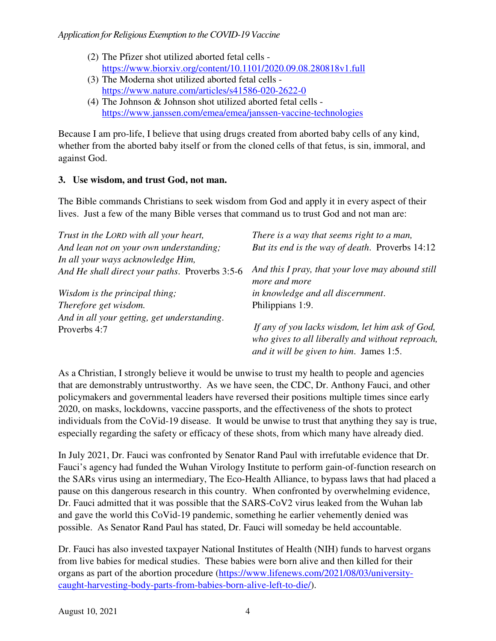- (2) The Pfizer shot utilized aborted fetal cells https://www.biorxiv.org/content/10.1101/2020.09.08.280818v1.full
- (3) The Moderna shot utilized aborted fetal cells https://www.nature.com/articles/s41586-020-2622-0
- (4) The Johnson & Johnson shot utilized aborted fetal cells https://www.janssen.com/emea/emea/janssen-vaccine-technologies

Because I am pro-life, I believe that using drugs created from aborted baby cells of any kind, whether from the aborted baby itself or from the cloned cells of that fetus, is sin, immoral, and against God.

## **3. Use wisdom, and trust God, not man.**

The Bible commands Christians to seek wisdom from God and apply it in every aspect of their lives. Just a few of the many Bible verses that command us to trust God and not man are:

| Trust in the LORD with all your heart,         | There is a way that seems right to a man,                         |  |
|------------------------------------------------|-------------------------------------------------------------------|--|
| And lean not on your own understanding;        | But its end is the way of death. Proverbs 14:12                   |  |
| In all your ways acknowledge Him,              |                                                                   |  |
| And He shall direct your paths. Proverbs 3:5-6 | And this I pray, that your love may abound still<br>more and more |  |
| Wisdom is the principal thing;                 | in knowledge and all discernment.                                 |  |
| Therefore get wisdom.                          | Philippians 1:9.                                                  |  |
| And in all your getting, get understanding.    |                                                                   |  |
| Proverbs 4:7                                   | If any of you lacks wisdom, let him ask of God,                   |  |
|                                                | who gives to all liberally and without reproach,                  |  |
|                                                | and it will be given to him. James 1:5.                           |  |

As a Christian, I strongly believe it would be unwise to trust my health to people and agencies that are demonstrably untrustworthy. As we have seen, the CDC, Dr. Anthony Fauci, and other policymakers and governmental leaders have reversed their positions multiple times since early 2020, on masks, lockdowns, vaccine passports, and the effectiveness of the shots to protect individuals from the CoVid-19 disease. It would be unwise to trust that anything they say is true, especially regarding the safety or efficacy of these shots, from which many have already died.

In July 2021, Dr. Fauci was confronted by Senator Rand Paul with irrefutable evidence that Dr. Fauci's agency had funded the Wuhan Virology Institute to perform gain-of-function research on the SARs virus using an intermediary, The Eco-Health Alliance, to bypass laws that had placed a pause on this dangerous research in this country. When confronted by overwhelming evidence, Dr. Fauci admitted that it was possible that the SARS-CoV2 virus leaked from the Wuhan lab and gave the world this CoVid-19 pandemic, something he earlier vehemently denied was possible. As Senator Rand Paul has stated, Dr. Fauci will someday be held accountable.

Dr. Fauci has also invested taxpayer National Institutes of Health (NIH) funds to harvest organs from live babies for medical studies. These babies were born alive and then killed for their organs as part of the abortion procedure (https://www.lifenews.com/2021/08/03/universitycaught-harvesting-body-parts-from-babies-born-alive-left-to-die/).